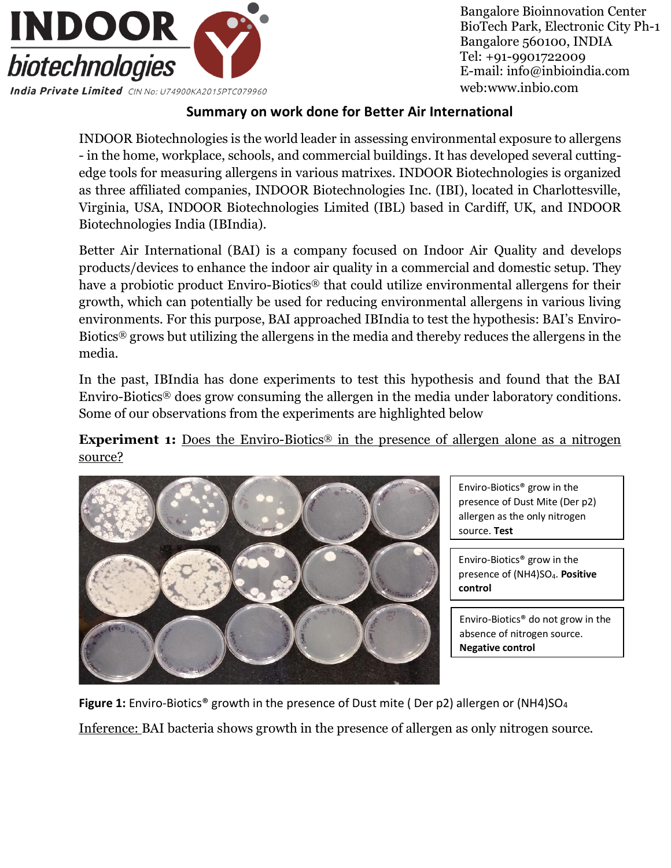

Bangalore Bioinnovation Center BioTech Park, Electronic City Ph-1 Bangalore 560100, INDIA Tel: +91-9901722009 E-mail: info@inbioindia.com web[:www.inbio.com](http://www.inbio.com/)

## **Summary on work done for Better Air International**

INDOOR Biotechnologies is the world leader in assessing environmental exposure to allergens - in the home, workplace, schools, and commercial buildings. It has developed several cuttingedge tools for measuring allergens in various matrixes. INDOOR Biotechnologies is organized as three affiliated companies, INDOOR Biotechnologies Inc. (IBI), located in Charlottesville, Virginia, USA, INDOOR Biotechnologies Limited (IBL) based in Cardiff, UK, and INDOOR Biotechnologies India (IBIndia).

Better Air International (BAI) is a company focused on Indoor Air Quality and develops products/devices to enhance the indoor air quality in a commercial and domestic setup. They have a probiotic product Enviro-Biotics® that could utilize environmental allergens for their growth, which can potentially be used for reducing environmental allergens in various living environments. For this purpose, BAI approached IBIndia to test the hypothesis: BAI's Enviro-Biotics® grows but utilizing the allergens in the media and thereby reduces the allergens in the media.

In the past, IBIndia has done experiments to test this hypothesis and found that the BAI Enviro-Biotics® does grow consuming the allergen in the media under laboratory conditions. Some of our observations from the experiments are highlighted below

**Experiment 1:** Does the Enviro-Biotics<sup>®</sup> in the presence of allergen alone as a nitrogen source?



Enviro-Biotics® grow in the presence of Dust Mite (Der p2) allergen as the only nitrogen source. **Test**

Enviro-Biotics® grow in the presence of (NH4)SO4. **Positive control** 

Enviro-Biotics® do not grow in the absence of nitrogen source. **Negative control**

Figure 1: Enviro-Biotics<sup>®</sup> growth in the presence of Dust mite (Der p2) allergen or (NH4)SO<sub>4</sub>

Inference: BAI bacteria shows growth in the presence of allergen as only nitrogen source.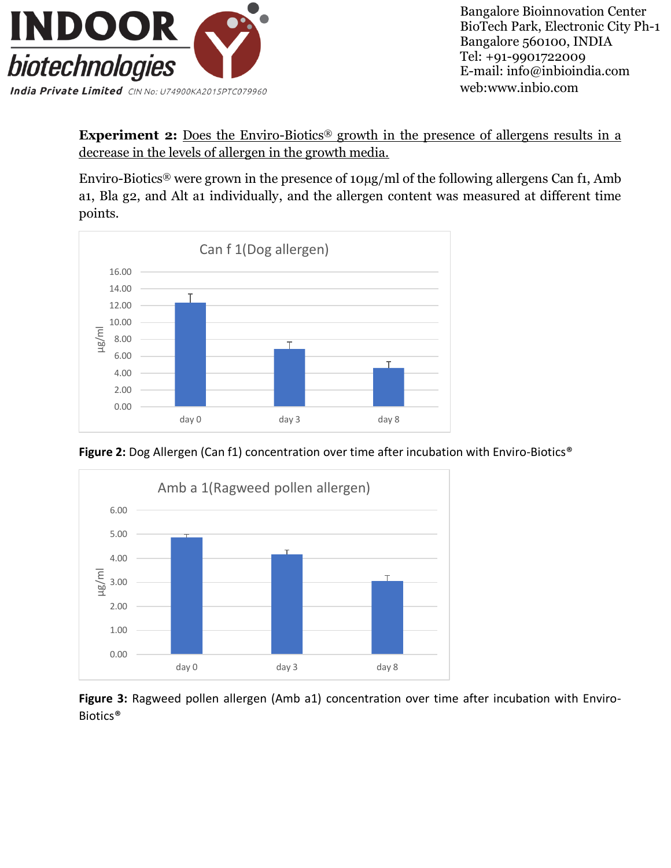

Bangalore Bioinnovation Center BioTech Park, Electronic City Ph-1 Bangalore 560100, INDIA Tel: +91-9901722009 E-mail: info@inbioindia.com web[:www.inbio.com](http://www.inbio.com/)

**Experiment 2:** Does the Enviro-Biotics<sup>®</sup> growth in the presence of allergens results in a decrease in the levels of allergen in the growth media.

Enviro-Biotics® were grown in the presence of 10µg/ml of the following allergens Can f1, Amb a1, Bla g2, and Alt a1 individually, and the allergen content was measured at different time points.



Figure 2: Dog Allergen (Can f1) concentration over time after incubation with Enviro-Biotics<sup>®</sup>



**Figure 3:** Ragweed pollen allergen (Amb a1) concentration over time after incubation with Enviro-Biotics®